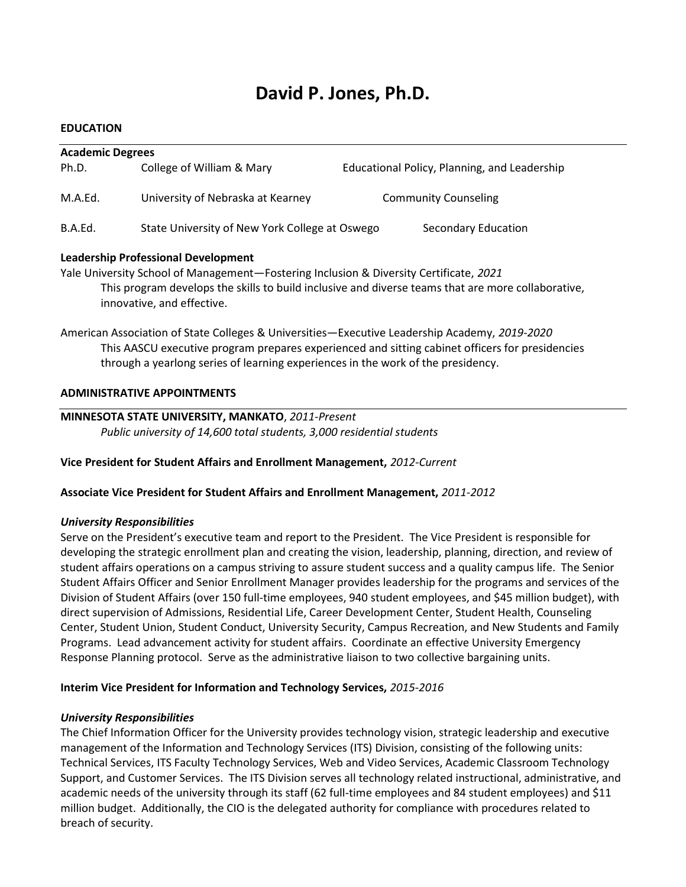# David P. Jones, Ph.D.

## EDUCATION

| <b>Academic Degrees</b> |                                                |                                              |  |
|-------------------------|------------------------------------------------|----------------------------------------------|--|
| Ph.D.                   | College of William & Mary                      | Educational Policy, Planning, and Leadership |  |
| M.A.Ed.                 | University of Nebraska at Kearney              | <b>Community Counseling</b>                  |  |
| B.A.Ed.                 | State University of New York College at Oswego | Secondary Education                          |  |

# Leadership Professional Development

Yale University School of Management—Fostering Inclusion & Diversity Certificate, 2021 This program develops the skills to build inclusive and diverse teams that are more collaborative, innovative, and effective.

American Association of State Colleges & Universities—Executive Leadership Academy, 2019-2020 This AASCU executive program prepares experienced and sitting cabinet officers for presidencies through a yearlong series of learning experiences in the work of the presidency.

# ADMINISTRATIVE APPOINTMENTS

# MINNESOTA STATE UNIVERSITY, MANKATO, 2011-Present

Public university of 14,600 total students, 3,000 residential students

Vice President for Student Affairs and Enrollment Management, 2012-Current

# Associate Vice President for Student Affairs and Enrollment Management, 2011-2012

# University Responsibilities

Serve on the President's executive team and report to the President. The Vice President is responsible for developing the strategic enrollment plan and creating the vision, leadership, planning, direction, and review of student affairs operations on a campus striving to assure student success and a quality campus life. The Senior Student Affairs Officer and Senior Enrollment Manager provides leadership for the programs and services of the Division of Student Affairs (over 150 full-time employees, 940 student employees, and \$45 million budget), with direct supervision of Admissions, Residential Life, Career Development Center, Student Health, Counseling Center, Student Union, Student Conduct, University Security, Campus Recreation, and New Students and Family Programs. Lead advancement activity for student affairs. Coordinate an effective University Emergency Response Planning protocol. Serve as the administrative liaison to two collective bargaining units.

# Interim Vice President for Information and Technology Services, 2015-2016

# University Responsibilities

The Chief Information Officer for the University provides technology vision, strategic leadership and executive management of the Information and Technology Services (ITS) Division, consisting of the following units: Technical Services, ITS Faculty Technology Services, Web and Video Services, Academic Classroom Technology Support, and Customer Services. The ITS Division serves all technology related instructional, administrative, and academic needs of the university through its staff (62 full-time employees and 84 student employees) and \$11 million budget. Additionally, the CIO is the delegated authority for compliance with procedures related to breach of security.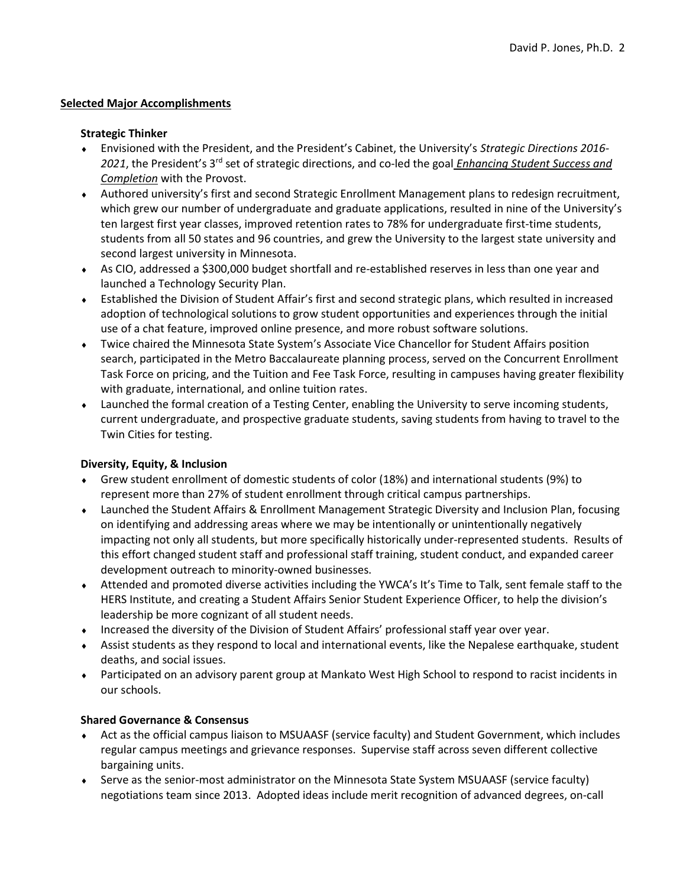# Selected Major Accomplishments

## Strategic Thinker

- Envisioned with the President, and the President's Cabinet, the University's Strategic Directions 2016- 2021, the President's 3<sup>rd</sup> set of strategic directions, and co-led the goal *Enhancing Student Success and* Completion with the Provost.
- Authored university's first and second Strategic Enrollment Management plans to redesign recruitment, which grew our number of undergraduate and graduate applications, resulted in nine of the University's ten largest first year classes, improved retention rates to 78% for undergraduate first-time students, students from all 50 states and 96 countries, and grew the University to the largest state university and second largest university in Minnesota.
- As CIO, addressed a \$300,000 budget shortfall and re-established reserves in less than one year and launched a Technology Security Plan.
- Established the Division of Student Affair's first and second strategic plans, which resulted in increased adoption of technological solutions to grow student opportunities and experiences through the initial use of a chat feature, improved online presence, and more robust software solutions.
- Twice chaired the Minnesota State System's Associate Vice Chancellor for Student Affairs position search, participated in the Metro Baccalaureate planning process, served on the Concurrent Enrollment Task Force on pricing, and the Tuition and Fee Task Force, resulting in campuses having greater flexibility with graduate, international, and online tuition rates.
- Launched the formal creation of a Testing Center, enabling the University to serve incoming students, current undergraduate, and prospective graduate students, saving students from having to travel to the Twin Cities for testing.

# Diversity, Equity, & Inclusion

- Grew student enrollment of domestic students of color (18%) and international students (9%) to represent more than 27% of student enrollment through critical campus partnerships.
- Launched the Student Affairs & Enrollment Management Strategic Diversity and Inclusion Plan, focusing on identifying and addressing areas where we may be intentionally or unintentionally negatively impacting not only all students, but more specifically historically under-represented students. Results of this effort changed student staff and professional staff training, student conduct, and expanded career development outreach to minority-owned businesses.
- Attended and promoted diverse activities including the YWCA's It's Time to Talk, sent female staff to the HERS Institute, and creating a Student Affairs Senior Student Experience Officer, to help the division's leadership be more cognizant of all student needs.
- Increased the diversity of the Division of Student Affairs' professional staff year over year.
- Assist students as they respond to local and international events, like the Nepalese earthquake, student deaths, and social issues.
- Participated on an advisory parent group at Mankato West High School to respond to racist incidents in our schools.

# Shared Governance & Consensus

- Act as the official campus liaison to MSUAASF (service faculty) and Student Government, which includes regular campus meetings and grievance responses. Supervise staff across seven different collective bargaining units.
- Serve as the senior-most administrator on the Minnesota State System MSUAASF (service faculty) negotiations team since 2013. Adopted ideas include merit recognition of advanced degrees, on-call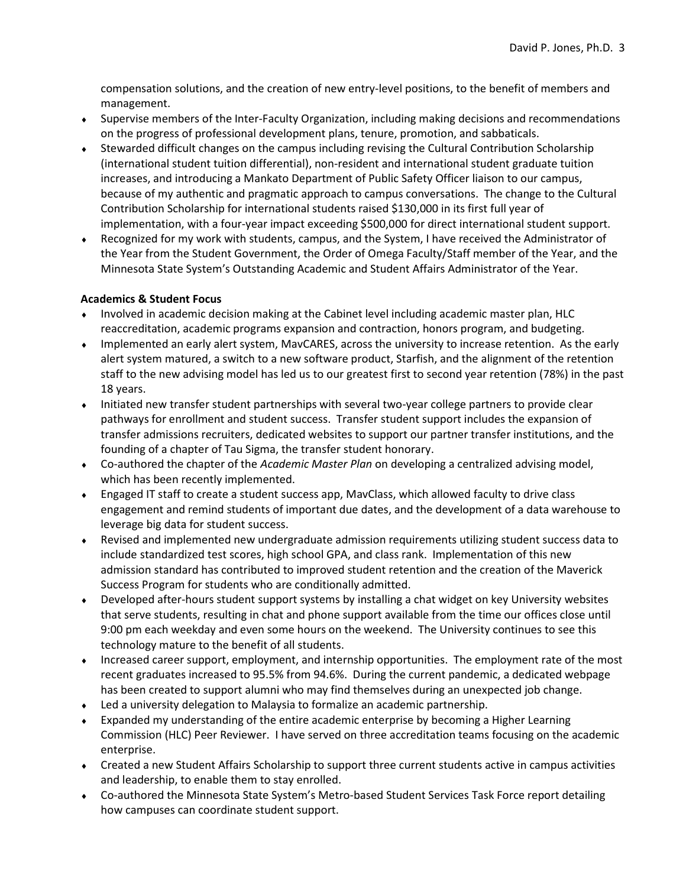compensation solutions, and the creation of new entry-level positions, to the benefit of members and management.

- Supervise members of the Inter-Faculty Organization, including making decisions and recommendations on the progress of professional development plans, tenure, promotion, and sabbaticals.
- Stewarded difficult changes on the campus including revising the Cultural Contribution Scholarship (international student tuition differential), non-resident and international student graduate tuition increases, and introducing a Mankato Department of Public Safety Officer liaison to our campus, because of my authentic and pragmatic approach to campus conversations. The change to the Cultural Contribution Scholarship for international students raised \$130,000 in its first full year of implementation, with a four-year impact exceeding \$500,000 for direct international student support.
- Recognized for my work with students, campus, and the System, I have received the Administrator of the Year from the Student Government, the Order of Omega Faculty/Staff member of the Year, and the Minnesota State System's Outstanding Academic and Student Affairs Administrator of the Year.

# Academics & Student Focus

- Involved in academic decision making at the Cabinet level including academic master plan, HLC reaccreditation, academic programs expansion and contraction, honors program, and budgeting.
- Implemented an early alert system, MavCARES, across the university to increase retention. As the early alert system matured, a switch to a new software product, Starfish, and the alignment of the retention staff to the new advising model has led us to our greatest first to second year retention (78%) in the past 18 years.
- Initiated new transfer student partnerships with several two-year college partners to provide clear pathways for enrollment and student success. Transfer student support includes the expansion of transfer admissions recruiters, dedicated websites to support our partner transfer institutions, and the founding of a chapter of Tau Sigma, the transfer student honorary.
- Co-authored the chapter of the Academic Master Plan on developing a centralized advising model, which has been recently implemented.
- Engaged IT staff to create a student success app, MavClass, which allowed faculty to drive class engagement and remind students of important due dates, and the development of a data warehouse to leverage big data for student success.
- Revised and implemented new undergraduate admission requirements utilizing student success data to include standardized test scores, high school GPA, and class rank. Implementation of this new admission standard has contributed to improved student retention and the creation of the Maverick Success Program for students who are conditionally admitted.
- Developed after-hours student support systems by installing a chat widget on key University websites that serve students, resulting in chat and phone support available from the time our offices close until 9:00 pm each weekday and even some hours on the weekend. The University continues to see this technology mature to the benefit of all students.
- Increased career support, employment, and internship opportunities. The employment rate of the most recent graduates increased to 95.5% from 94.6%. During the current pandemic, a dedicated webpage has been created to support alumni who may find themselves during an unexpected job change.
- Led a university delegation to Malaysia to formalize an academic partnership.
- Expanded my understanding of the entire academic enterprise by becoming a Higher Learning Commission (HLC) Peer Reviewer. I have served on three accreditation teams focusing on the academic enterprise.
- Created a new Student Affairs Scholarship to support three current students active in campus activities and leadership, to enable them to stay enrolled.
- Co-authored the Minnesota State System's Metro-based Student Services Task Force report detailing how campuses can coordinate student support.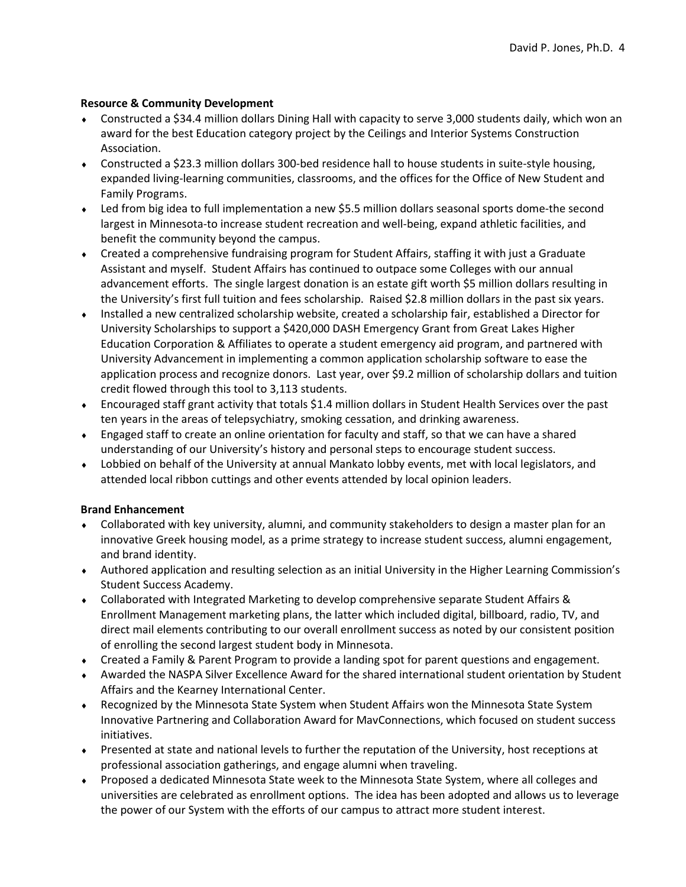# Resource & Community Development

- Constructed a \$34.4 million dollars Dining Hall with capacity to serve 3,000 students daily, which won an award for the best Education category project by the Ceilings and Interior Systems Construction Association.
- Constructed a \$23.3 million dollars 300-bed residence hall to house students in suite-style housing, expanded living-learning communities, classrooms, and the offices for the Office of New Student and Family Programs.
- Led from big idea to full implementation a new \$5.5 million dollars seasonal sports dome-the second largest in Minnesota-to increase student recreation and well-being, expand athletic facilities, and benefit the community beyond the campus.
- Created a comprehensive fundraising program for Student Affairs, staffing it with just a Graduate Assistant and myself. Student Affairs has continued to outpace some Colleges with our annual advancement efforts. The single largest donation is an estate gift worth \$5 million dollars resulting in the University's first full tuition and fees scholarship. Raised \$2.8 million dollars in the past six years.
- Installed a new centralized scholarship website, created a scholarship fair, established a Director for University Scholarships to support a \$420,000 DASH Emergency Grant from Great Lakes Higher Education Corporation & Affiliates to operate a student emergency aid program, and partnered with University Advancement in implementing a common application scholarship software to ease the application process and recognize donors. Last year, over \$9.2 million of scholarship dollars and tuition credit flowed through this tool to 3,113 students.
- Encouraged staff grant activity that totals \$1.4 million dollars in Student Health Services over the past ten years in the areas of telepsychiatry, smoking cessation, and drinking awareness.
- Engaged staff to create an online orientation for faculty and staff, so that we can have a shared understanding of our University's history and personal steps to encourage student success.
- Lobbied on behalf of the University at annual Mankato lobby events, met with local legislators, and attended local ribbon cuttings and other events attended by local opinion leaders.

# Brand Enhancement

- Collaborated with key university, alumni, and community stakeholders to design a master plan for an innovative Greek housing model, as a prime strategy to increase student success, alumni engagement, and brand identity.
- Authored application and resulting selection as an initial University in the Higher Learning Commission's Student Success Academy.
- Collaborated with Integrated Marketing to develop comprehensive separate Student Affairs & Enrollment Management marketing plans, the latter which included digital, billboard, radio, TV, and direct mail elements contributing to our overall enrollment success as noted by our consistent position of enrolling the second largest student body in Minnesota.
- Created a Family & Parent Program to provide a landing spot for parent questions and engagement.
- Awarded the NASPA Silver Excellence Award for the shared international student orientation by Student Affairs and the Kearney International Center.
- Recognized by the Minnesota State System when Student Affairs won the Minnesota State System Innovative Partnering and Collaboration Award for MavConnections, which focused on student success initiatives.
- Presented at state and national levels to further the reputation of the University, host receptions at professional association gatherings, and engage alumni when traveling.
- Proposed a dedicated Minnesota State week to the Minnesota State System, where all colleges and universities are celebrated as enrollment options. The idea has been adopted and allows us to leverage the power of our System with the efforts of our campus to attract more student interest.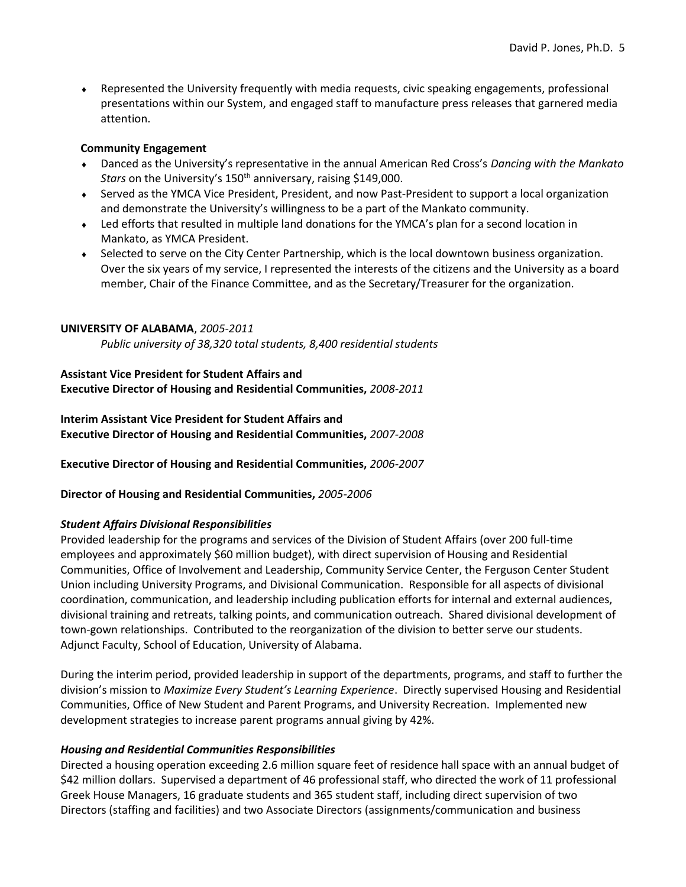Represented the University frequently with media requests, civic speaking engagements, professional presentations within our System, and engaged staff to manufacture press releases that garnered media attention.

# Community Engagement

- Danced as the University's representative in the annual American Red Cross's Dancing with the Mankato Stars on the University's 150<sup>th</sup> anniversary, raising \$149,000.
- Served as the YMCA Vice President, President, and now Past-President to support a local organization and demonstrate the University's willingness to be a part of the Mankato community.
- Led efforts that resulted in multiple land donations for the YMCA's plan for a second location in Mankato, as YMCA President.
- Selected to serve on the City Center Partnership, which is the local downtown business organization. Over the six years of my service, I represented the interests of the citizens and the University as a board member, Chair of the Finance Committee, and as the Secretary/Treasurer for the organization.

# UNIVERSITY OF ALABAMA, 2005-2011

Public university of 38,320 total students, 8,400 residential students

# Assistant Vice President for Student Affairs and Executive Director of Housing and Residential Communities, 2008-2011

Interim Assistant Vice President for Student Affairs and Executive Director of Housing and Residential Communities, 2007-2008

Executive Director of Housing and Residential Communities, 2006-2007

Director of Housing and Residential Communities, 2005-2006

# Student Affairs Divisional Responsibilities

Provided leadership for the programs and services of the Division of Student Affairs (over 200 full-time employees and approximately \$60 million budget), with direct supervision of Housing and Residential Communities, Office of Involvement and Leadership, Community Service Center, the Ferguson Center Student Union including University Programs, and Divisional Communication. Responsible for all aspects of divisional coordination, communication, and leadership including publication efforts for internal and external audiences, divisional training and retreats, talking points, and communication outreach. Shared divisional development of town-gown relationships. Contributed to the reorganization of the division to better serve our students. Adjunct Faculty, School of Education, University of Alabama.

During the interim period, provided leadership in support of the departments, programs, and staff to further the division's mission to Maximize Every Student's Learning Experience. Directly supervised Housing and Residential Communities, Office of New Student and Parent Programs, and University Recreation. Implemented new development strategies to increase parent programs annual giving by 42%.

# Housing and Residential Communities Responsibilities

Directed a housing operation exceeding 2.6 million square feet of residence hall space with an annual budget of \$42 million dollars. Supervised a department of 46 professional staff, who directed the work of 11 professional Greek House Managers, 16 graduate students and 365 student staff, including direct supervision of two Directors (staffing and facilities) and two Associate Directors (assignments/communication and business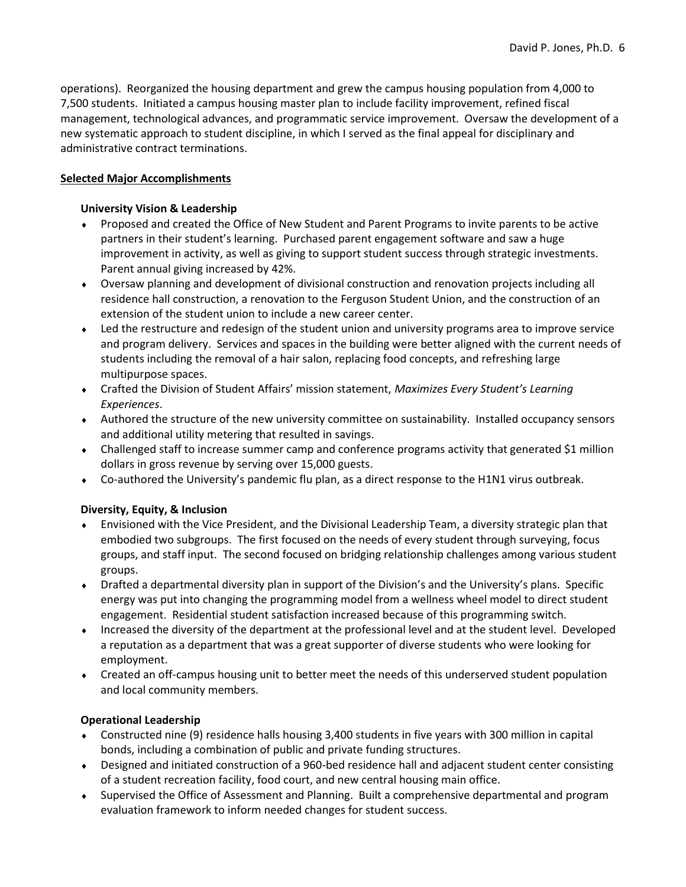operations). Reorganized the housing department and grew the campus housing population from 4,000 to 7,500 students. Initiated a campus housing master plan to include facility improvement, refined fiscal management, technological advances, and programmatic service improvement. Oversaw the development of a new systematic approach to student discipline, in which I served as the final appeal for disciplinary and administrative contract terminations.

# Selected Major Accomplishments

# University Vision & Leadership

- Proposed and created the Office of New Student and Parent Programs to invite parents to be active partners in their student's learning. Purchased parent engagement software and saw a huge improvement in activity, as well as giving to support student success through strategic investments. Parent annual giving increased by 42%.
- Oversaw planning and development of divisional construction and renovation projects including all residence hall construction, a renovation to the Ferguson Student Union, and the construction of an extension of the student union to include a new career center.
- Led the restructure and redesign of the student union and university programs area to improve service and program delivery. Services and spaces in the building were better aligned with the current needs of students including the removal of a hair salon, replacing food concepts, and refreshing large multipurpose spaces.
- Crafted the Division of Student Affairs' mission statement, Maximizes Every Student's Learning Experiences.
- Authored the structure of the new university committee on sustainability. Installed occupancy sensors and additional utility metering that resulted in savings.
- Challenged staff to increase summer camp and conference programs activity that generated \$1 million dollars in gross revenue by serving over 15,000 guests.
- Co-authored the University's pandemic flu plan, as a direct response to the H1N1 virus outbreak.

# Diversity, Equity, & Inclusion

- Envisioned with the Vice President, and the Divisional Leadership Team, a diversity strategic plan that embodied two subgroups. The first focused on the needs of every student through surveying, focus groups, and staff input. The second focused on bridging relationship challenges among various student groups.
- Drafted a departmental diversity plan in support of the Division's and the University's plans. Specific energy was put into changing the programming model from a wellness wheel model to direct student engagement. Residential student satisfaction increased because of this programming switch.
- Increased the diversity of the department at the professional level and at the student level. Developed a reputation as a department that was a great supporter of diverse students who were looking for employment.
- Created an off-campus housing unit to better meet the needs of this underserved student population and local community members.

# Operational Leadership

- Constructed nine (9) residence halls housing 3,400 students in five years with 300 million in capital bonds, including a combination of public and private funding structures.
- Designed and initiated construction of a 960-bed residence hall and adjacent student center consisting of a student recreation facility, food court, and new central housing main office.
- Supervised the Office of Assessment and Planning. Built a comprehensive departmental and program evaluation framework to inform needed changes for student success.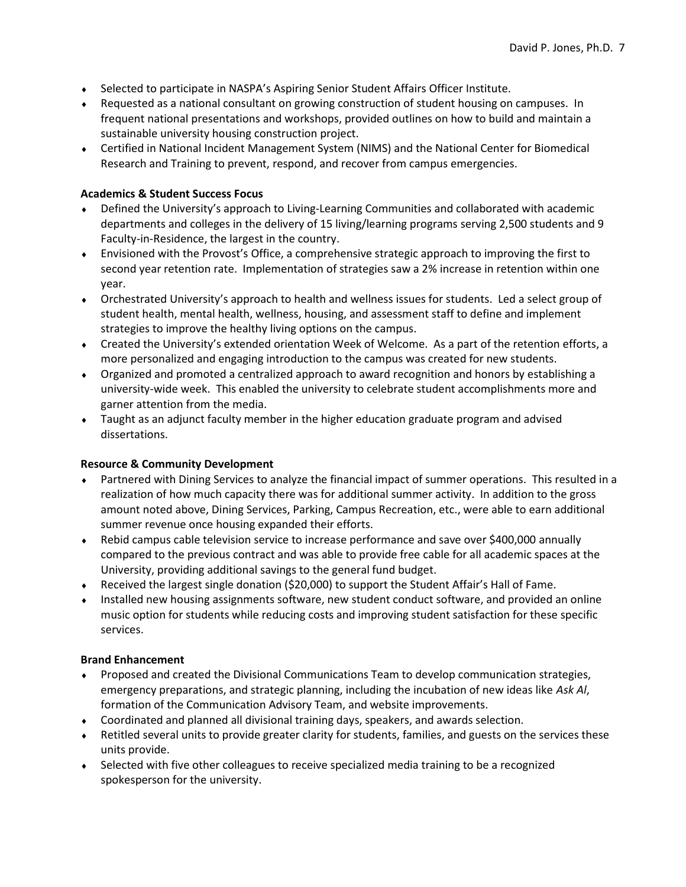- Selected to participate in NASPA's Aspiring Senior Student Affairs Officer Institute.
- Requested as a national consultant on growing construction of student housing on campuses. In frequent national presentations and workshops, provided outlines on how to build and maintain a sustainable university housing construction project.
- Certified in National Incident Management System (NIMS) and the National Center for Biomedical Research and Training to prevent, respond, and recover from campus emergencies.

# Academics & Student Success Focus

- Defined the University's approach to Living-Learning Communities and collaborated with academic departments and colleges in the delivery of 15 living/learning programs serving 2,500 students and 9 Faculty-in-Residence, the largest in the country.
- Envisioned with the Provost's Office, a comprehensive strategic approach to improving the first to second year retention rate. Implementation of strategies saw a 2% increase in retention within one year.
- Orchestrated University's approach to health and wellness issues for students. Led a select group of student health, mental health, wellness, housing, and assessment staff to define and implement strategies to improve the healthy living options on the campus.
- Created the University's extended orientation Week of Welcome. As a part of the retention efforts, a more personalized and engaging introduction to the campus was created for new students.
- Organized and promoted a centralized approach to award recognition and honors by establishing a university-wide week. This enabled the university to celebrate student accomplishments more and garner attention from the media.
- Taught as an adjunct faculty member in the higher education graduate program and advised dissertations.

# Resource & Community Development

- Partnered with Dining Services to analyze the financial impact of summer operations. This resulted in a realization of how much capacity there was for additional summer activity. In addition to the gross amount noted above, Dining Services, Parking, Campus Recreation, etc., were able to earn additional summer revenue once housing expanded their efforts.
- Rebid campus cable television service to increase performance and save over \$400,000 annually compared to the previous contract and was able to provide free cable for all academic spaces at the University, providing additional savings to the general fund budget.
- Received the largest single donation (\$20,000) to support the Student Affair's Hall of Fame.
- Installed new housing assignments software, new student conduct software, and provided an online music option for students while reducing costs and improving student satisfaction for these specific services.

# Brand Enhancement

- Proposed and created the Divisional Communications Team to develop communication strategies, emergency preparations, and strategic planning, including the incubation of new ideas like Ask Al, formation of the Communication Advisory Team, and website improvements.
- Coordinated and planned all divisional training days, speakers, and awards selection.
- Retitled several units to provide greater clarity for students, families, and guests on the services these units provide.
- Selected with five other colleagues to receive specialized media training to be a recognized spokesperson for the university.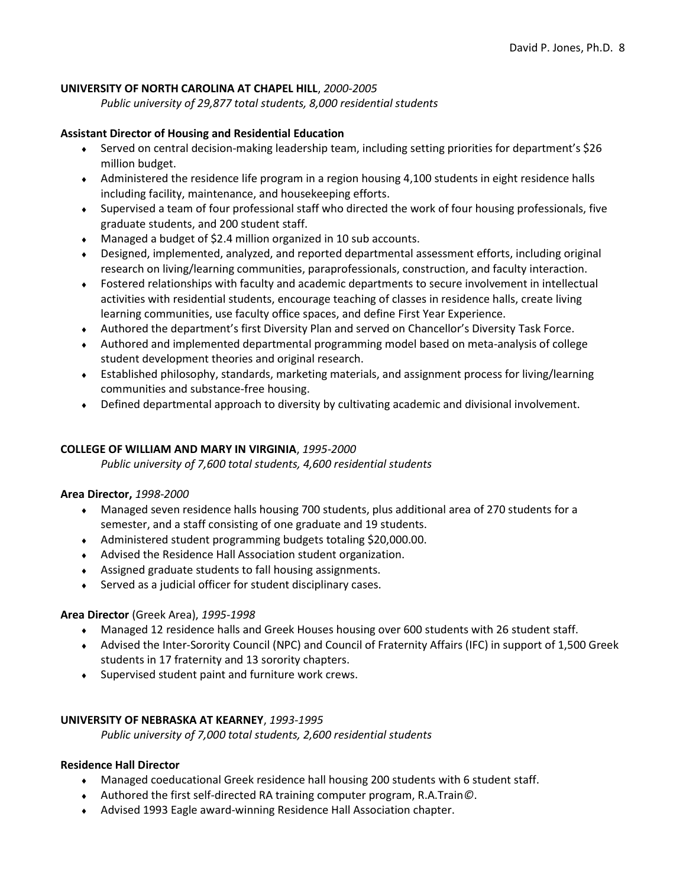## UNIVERSITY OF NORTH CAROLINA AT CHAPEL HILL, 2000-2005

Public university of 29,877 total students, 8,000 residential students

#### Assistant Director of Housing and Residential Education

- Served on central decision-making leadership team, including setting priorities for department's \$26 million budget.
- Administered the residence life program in a region housing 4,100 students in eight residence halls including facility, maintenance, and housekeeping efforts.
- Supervised a team of four professional staff who directed the work of four housing professionals, five graduate students, and 200 student staff.
- Managed a budget of \$2.4 million organized in 10 sub accounts.
- Designed, implemented, analyzed, and reported departmental assessment efforts, including original research on living/learning communities, paraprofessionals, construction, and faculty interaction.
- Fostered relationships with faculty and academic departments to secure involvement in intellectual activities with residential students, encourage teaching of classes in residence halls, create living learning communities, use faculty office spaces, and define First Year Experience.
- Authored the department's first Diversity Plan and served on Chancellor's Diversity Task Force.
- Authored and implemented departmental programming model based on meta-analysis of college student development theories and original research.
- Established philosophy, standards, marketing materials, and assignment process for living/learning communities and substance-free housing.
- Defined departmental approach to diversity by cultivating academic and divisional involvement.

# COLLEGE OF WILLIAM AND MARY IN VIRGINIA, 1995-2000

Public university of 7,600 total students, 4,600 residential students

#### Area Director, 1998-2000

- Managed seven residence halls housing 700 students, plus additional area of 270 students for a semester, and a staff consisting of one graduate and 19 students.
- Administered student programming budgets totaling \$20,000.00.
- Advised the Residence Hall Association student organization.
- Assigned graduate students to fall housing assignments.
- Served as a judicial officer for student disciplinary cases.

# Area Director (Greek Area), 1995-1998

- Managed 12 residence halls and Greek Houses housing over 600 students with 26 student staff.
- Advised the Inter-Sorority Council (NPC) and Council of Fraternity Affairs (IFC) in support of 1,500 Greek students in 17 fraternity and 13 sorority chapters.
- Supervised student paint and furniture work crews.

# UNIVERSITY OF NEBRASKA AT KEARNEY, 1993-1995

Public university of 7,000 total students, 2,600 residential students

## Residence Hall Director

- Managed coeducational Greek residence hall housing 200 students with 6 student staff.
- Authored the first self-directed RA training computer program, R.A.Train©.
- Advised 1993 Eagle award-winning Residence Hall Association chapter.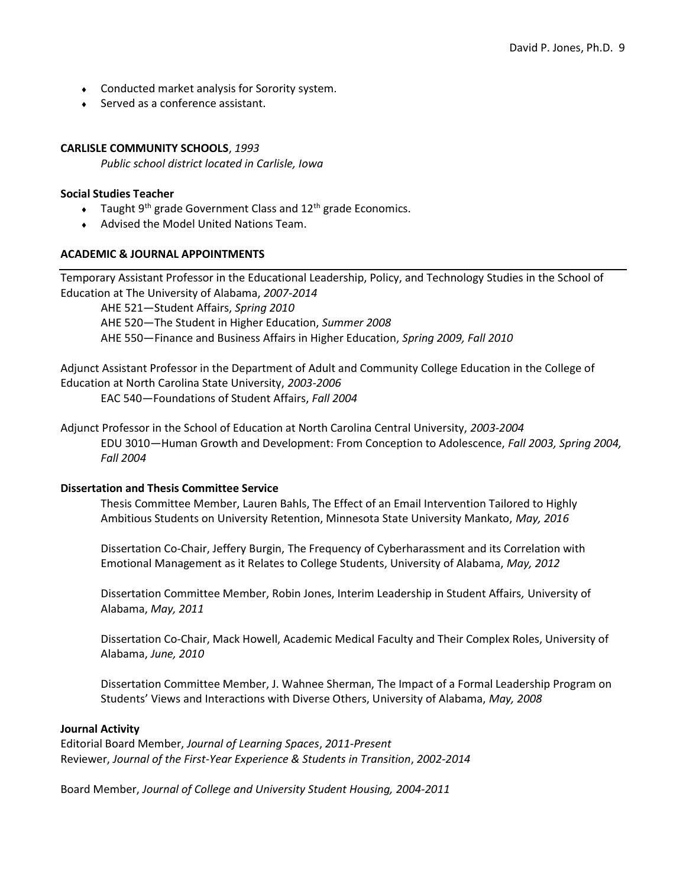- Conducted market analysis for Sorority system.
- ◆ Served as a conference assistant.

## CARLISLE COMMUNITY SCHOOLS, 1993

Public school district located in Carlisle, Iowa

#### Social Studies Teacher

- $\bullet$  Taught 9<sup>th</sup> grade Government Class and 12<sup>th</sup> grade Economics.
- Advised the Model United Nations Team.

#### ACADEMIC & JOURNAL APPOINTMENTS

Temporary Assistant Professor in the Educational Leadership, Policy, and Technology Studies in the School of Education at The University of Alabama, 2007-2014

AHE 521-Student Affairs, Spring 2010 AHE 520—The Student in Higher Education, Summer 2008 AHE 550-Finance and Business Affairs in Higher Education, Spring 2009, Fall 2010

Adjunct Assistant Professor in the Department of Adult and Community College Education in the College of Education at North Carolina State University, 2003-2006

EAC 540—Foundations of Student Affairs, Fall 2004

Adjunct Professor in the School of Education at North Carolina Central University, 2003-2004 EDU 3010—Human Growth and Development: From Conception to Adolescence, Fall 2003, Spring 2004, Fall 2004

#### Dissertation and Thesis Committee Service

Thesis Committee Member, Lauren Bahls, The Effect of an Email Intervention Tailored to Highly Ambitious Students on University Retention, Minnesota State University Mankato, May, 2016

Dissertation Co-Chair, Jeffery Burgin, The Frequency of Cyberharassment and its Correlation with Emotional Management as it Relates to College Students, University of Alabama, May, 2012

Dissertation Committee Member, Robin Jones, Interim Leadership in Student Affairs, University of Alabama, May, 2011

Dissertation Co-Chair, Mack Howell, Academic Medical Faculty and Their Complex Roles, University of Alabama, June, 2010

Dissertation Committee Member, J. Wahnee Sherman, The Impact of a Formal Leadership Program on Students' Views and Interactions with Diverse Others, University of Alabama, May, 2008

#### Journal Activity

Editorial Board Member, Journal of Learning Spaces, 2011-Present Reviewer, Journal of the First-Year Experience & Students in Transition, 2002-2014

Board Member, Journal of College and University Student Housing, 2004-2011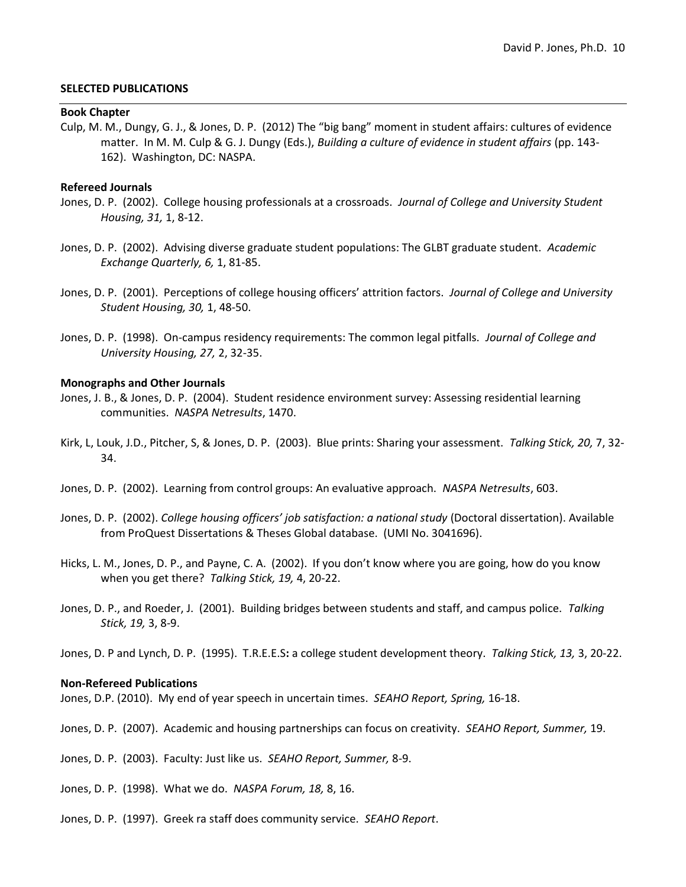#### SELECTED PUBLICATIONS

#### Book Chapter

Culp, M. M., Dungy, G. J., & Jones, D. P. (2012) The "big bang" moment in student affairs: cultures of evidence matter. In M. M. Culp & G. J. Dungy (Eds.), Building a culture of evidence in student affairs (pp. 143-162). Washington, DC: NASPA.

#### Refereed Journals

- Jones, D. P. (2002). College housing professionals at a crossroads. Journal of College and University Student Housing, 31, 1, 8-12.
- Jones, D. P. (2002). Advising diverse graduate student populations: The GLBT graduate student. Academic Exchange Quarterly, 6, 1, 81-85.
- Jones, D. P. (2001). Perceptions of college housing officers' attrition factors. Journal of College and University Student Housing, 30, 1, 48-50.
- Jones, D. P. (1998). On-campus residency requirements: The common legal pitfalls. Journal of College and University Housing, 27, 2, 32-35.

#### Monographs and Other Journals

- Jones, J. B., & Jones, D. P. (2004). Student residence environment survey: Assessing residential learning communities. NASPA Netresults, 1470.
- Kirk, L, Louk, J.D., Pitcher, S, & Jones, D. P. (2003). Blue prints: Sharing your assessment. Talking Stick, 20, 7, 32-34.
- Jones, D. P. (2002). Learning from control groups: An evaluative approach. NASPA Netresults, 603.
- Jones, D. P. (2002). College housing officers' job satisfaction: a national study (Doctoral dissertation). Available from ProQuest Dissertations & Theses Global database. (UMI No. 3041696).
- Hicks, L. M., Jones, D. P., and Payne, C. A. (2002). If you don't know where you are going, how do you know when you get there? Talking Stick, 19, 4, 20-22.
- Jones, D. P., and Roeder, J. (2001). Building bridges between students and staff, and campus police. Talking Stick, 19, 3, 8-9.

Jones, D. P and Lynch, D. P. (1995). T.R.E.E.S: a college student development theory. Talking Stick, 13, 3, 20-22.

#### Non-Refereed Publications

Jones, D.P. (2010). My end of year speech in uncertain times. SEAHO Report, Spring, 16-18.

Jones, D. P. (2007). Academic and housing partnerships can focus on creativity. SEAHO Report, Summer, 19.

Jones, D. P. (2003). Faculty: Just like us. SEAHO Report, Summer, 8-9.

Jones, D. P. (1998). What we do. NASPA Forum, 18, 8, 16.

Jones, D. P. (1997). Greek ra staff does community service. SEAHO Report.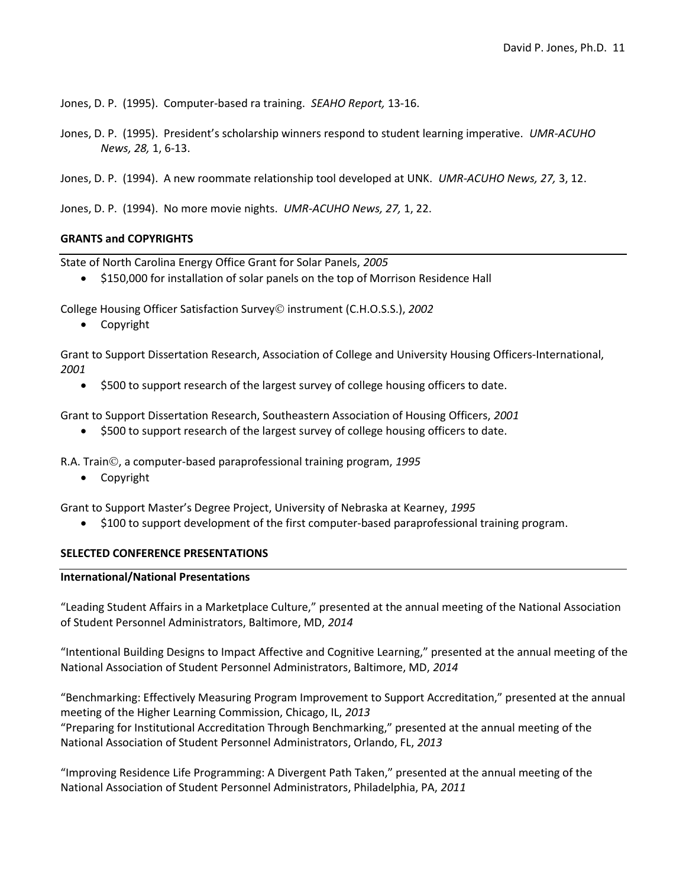Jones, D. P. (1995). Computer-based ra training. SEAHO Report, 13-16.

Jones, D. P. (1995). President's scholarship winners respond to student learning imperative. UMR-ACUHO News, 28, 1, 6-13.

Jones, D. P. (1994). A new roommate relationship tool developed at UNK. UMR-ACUHO News, 27, 3, 12.

Jones, D. P. (1994). No more movie nights. UMR-ACUHO News, 27, 1, 22.

## GRANTS and COPYRIGHTS

State of North Carolina Energy Office Grant for Solar Panels, 2005

\$150,000 for installation of solar panels on the top of Morrison Residence Hall

College Housing Officer Satisfaction Survey© instrument (C.H.O.S.S.), 2002

Copyright

Grant to Support Dissertation Research, Association of College and University Housing Officers-International, 2001

\$500 to support research of the largest survey of college housing officers to date.

Grant to Support Dissertation Research, Southeastern Association of Housing Officers, 2001

• \$500 to support research of the largest survey of college housing officers to date.

R.A. Train©, a computer-based paraprofessional training program, 1995

Copyright

Grant to Support Master's Degree Project, University of Nebraska at Kearney, 1995

\$100 to support development of the first computer-based paraprofessional training program.

#### SELECTED CONFERENCE PRESENTATIONS

#### International/National Presentations

"Leading Student Affairs in a Marketplace Culture," presented at the annual meeting of the National Association of Student Personnel Administrators, Baltimore, MD, 2014

"Intentional Building Designs to Impact Affective and Cognitive Learning," presented at the annual meeting of the National Association of Student Personnel Administrators, Baltimore, MD, 2014

"Benchmarking: Effectively Measuring Program Improvement to Support Accreditation," presented at the annual meeting of the Higher Learning Commission, Chicago, IL, 2013 "Preparing for Institutional Accreditation Through Benchmarking," presented at the annual meeting of the National Association of Student Personnel Administrators, Orlando, FL, 2013

"Improving Residence Life Programming: A Divergent Path Taken," presented at the annual meeting of the National Association of Student Personnel Administrators, Philadelphia, PA, 2011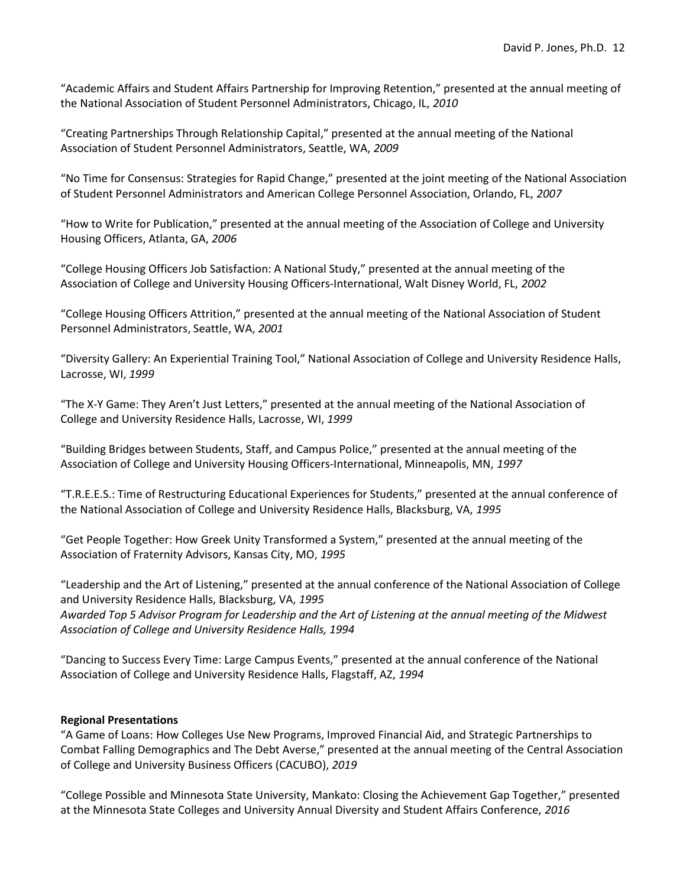"Academic Affairs and Student Affairs Partnership for Improving Retention," presented at the annual meeting of the National Association of Student Personnel Administrators, Chicago, IL, 2010

"Creating Partnerships Through Relationship Capital," presented at the annual meeting of the National Association of Student Personnel Administrators, Seattle, WA, 2009

"No Time for Consensus: Strategies for Rapid Change," presented at the joint meeting of the National Association of Student Personnel Administrators and American College Personnel Association, Orlando, FL, 2007

"How to Write for Publication," presented at the annual meeting of the Association of College and University Housing Officers, Atlanta, GA, 2006

"College Housing Officers Job Satisfaction: A National Study," presented at the annual meeting of the Association of College and University Housing Officers-International, Walt Disney World, FL, 2002

"College Housing Officers Attrition," presented at the annual meeting of the National Association of Student Personnel Administrators, Seattle, WA, 2001

"Diversity Gallery: An Experiential Training Tool," National Association of College and University Residence Halls, Lacrosse, WI, 1999

"The X-Y Game: They Aren't Just Letters," presented at the annual meeting of the National Association of College and University Residence Halls, Lacrosse, WI, 1999

"Building Bridges between Students, Staff, and Campus Police," presented at the annual meeting of the Association of College and University Housing Officers-International, Minneapolis, MN, 1997

"T.R.E.E.S.: Time of Restructuring Educational Experiences for Students," presented at the annual conference of the National Association of College and University Residence Halls, Blacksburg, VA, 1995

"Get People Together: How Greek Unity Transformed a System," presented at the annual meeting of the Association of Fraternity Advisors, Kansas City, MO, 1995

"Leadership and the Art of Listening," presented at the annual conference of the National Association of College and University Residence Halls, Blacksburg, VA, 1995 Awarded Top 5 Advisor Program for Leadership and the Art of Listening at the annual meeting of the Midwest Association of College and University Residence Halls, 1994

"Dancing to Success Every Time: Large Campus Events," presented at the annual conference of the National Association of College and University Residence Halls, Flagstaff, AZ, 1994

# Regional Presentations

"A Game of Loans: How Colleges Use New Programs, Improved Financial Aid, and Strategic Partnerships to Combat Falling Demographics and The Debt Averse," presented at the annual meeting of the Central Association of College and University Business Officers (CACUBO), 2019

"College Possible and Minnesota State University, Mankato: Closing the Achievement Gap Together," presented at the Minnesota State Colleges and University Annual Diversity and Student Affairs Conference, 2016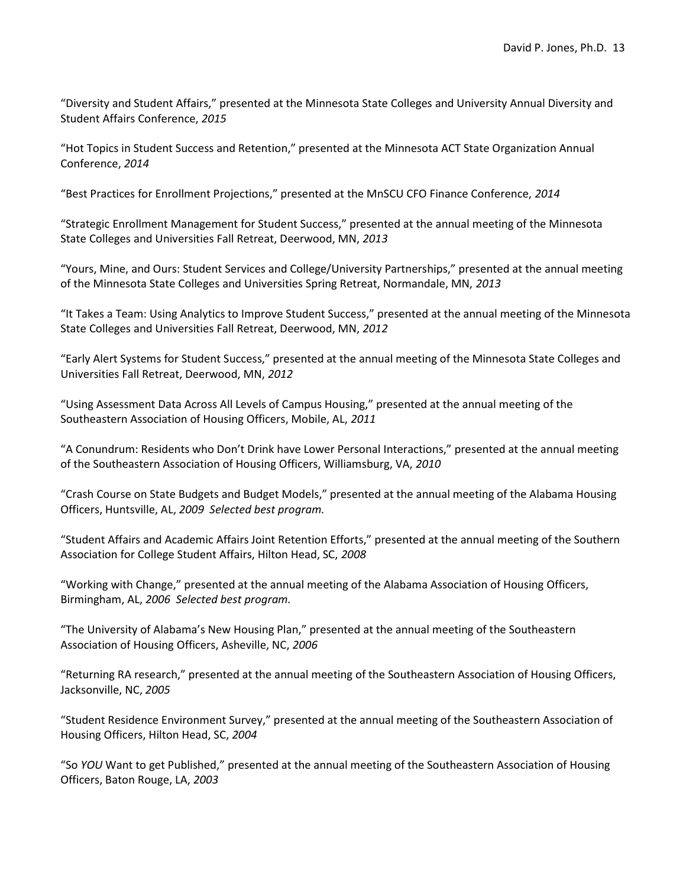"Diversity and Student Affairs," presented at the Minnesota State Colleges and University Annual Diversity and Student Affairs Conference, 2015

"Hot Topics in Student Success and Retention," presented at the Minnesota ACT State Organization Annual Conference, 2014

"Best Practices for Enrollment Projections," presented at the MnSCU CFO Finance Conference, 2014

"Strategic Enrollment Management for Student Success," presented at the annual meeting of the Minnesota State Colleges and Universities Fall Retreat, Deerwood, MN, 2013

"Yours, Mine, and Ours: Student Services and College/University Partnerships," presented at the annual meeting of the Minnesota State Colleges and Universities Spring Retreat, Normandale, MN, 2013

"It Takes a Team: Using Analytics to Improve Student Success," presented at the annual meeting of the Minnesota State Colleges and Universities Fall Retreat, Deerwood, MN, 2012

"Early Alert Systems for Student Success," presented at the annual meeting of the Minnesota State Colleges and Universities Fall Retreat, Deerwood, MN, 2012

"Using Assessment Data Across All Levels of Campus Housing," presented at the annual meeting of the Southeastern Association of Housing Officers, Mobile, AL, 2011

"A Conundrum: Residents who Don't Drink have Lower Personal Interactions," presented at the annual meeting of the Southeastern Association of Housing Officers, Williamsburg, VA, 2010

"Crash Course on State Budgets and Budget Models," presented at the annual meeting of the Alabama Housing Officers, Huntsville, AL, 2009 Selected best program.

"Student Affairs and Academic Affairs Joint Retention Efforts," presented at the annual meeting of the Southern Association for College Student Affairs, Hilton Head, SC, 2008

"Working with Change," presented at the annual meeting of the Alabama Association of Housing Officers, Birmingham, AL, 2006 Selected best program.

"The University of Alabama's New Housing Plan," presented at the annual meeting of the Southeastern Association of Housing Officers, Asheville, NC, 2006

"Returning RA research," presented at the annual meeting of the Southeastern Association of Housing Officers, Jacksonville, NC, 2005

"Student Residence Environment Survey," presented at the annual meeting of the Southeastern Association of Housing Officers, Hilton Head, SC, 2004

"So YOU Want to get Published," presented at the annual meeting of the Southeastern Association of Housing Officers, Baton Rouge, LA, 2003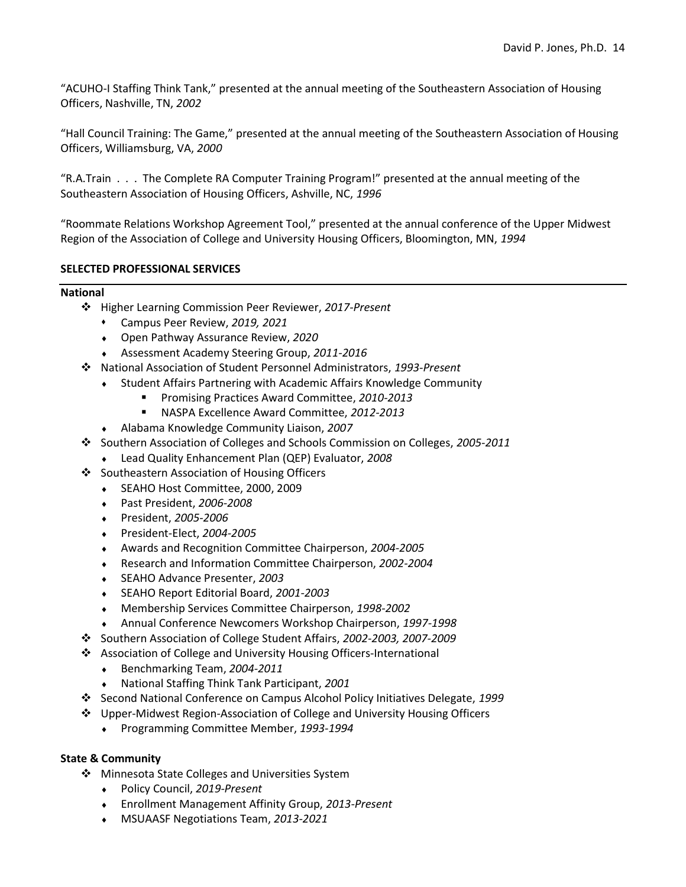"ACUHO-I Staffing Think Tank," presented at the annual meeting of the Southeastern Association of Housing Officers, Nashville, TN, 2002

"Hall Council Training: The Game," presented at the annual meeting of the Southeastern Association of Housing Officers, Williamsburg, VA, 2000

"R.A.Train . . . The Complete RA Computer Training Program!" presented at the annual meeting of the Southeastern Association of Housing Officers, Ashville, NC, 1996

"Roommate Relations Workshop Agreement Tool," presented at the annual conference of the Upper Midwest Region of the Association of College and University Housing Officers, Bloomington, MN, 1994

# SELECTED PROFESSIONAL SERVICES

#### National

- $*$  Higher Learning Commission Peer Reviewer, 2017-Present
	- Campus Peer Review, 2019, 2021
	- Open Pathway Assurance Review, 2020
	- Assessment Academy Steering Group, 2011-2016
- National Association of Student Personnel Administrators, 1993-Present
	- Student Affairs Partnering with Academic Affairs Knowledge Community
		- **Promising Practices Award Committee, 2010-2013**
		- NASPA Excellence Award Committee, 2012-2013
	- Alabama Knowledge Community Liaison, 2007
- Southern Association of Colleges and Schools Commission on Colleges, 2005-2011
	- ◆ Lead Quality Enhancement Plan (QEP) Evaluator, 2008
- ❖ Southeastern Association of Housing Officers
	- SEAHO Host Committee, 2000, 2009
	- Past President, 2006-2008
	- President, 2005-2006
	- President-Elect, 2004-2005
	- Awards and Recognition Committee Chairperson, 2004-2005
	- Research and Information Committee Chairperson, 2002-2004
	- ◆ SEAHO Advance Presenter, 2003
	- SEAHO Report Editorial Board, 2001-2003
	- Membership Services Committee Chairperson, 1998-2002
	- Annual Conference Newcomers Workshop Chairperson, 1997-1998
- Southern Association of College Student Affairs, 2002-2003, 2007-2009
- ❖ Association of College and University Housing Officers-International
	- ◆ Benchmarking Team, 2004-2011
	- ◆ National Staffing Think Tank Participant, 2001
- Second National Conference on Campus Alcohol Policy Initiatives Delegate, 1999
- Upper-Midwest Region-Association of College and University Housing Officers
	- Programming Committee Member, 1993-1994

# State & Community

- ❖ Minnesota State Colleges and Universities System
	- Policy Council, 2019-Present
	- Enrollment Management Affinity Group, 2013-Present
	- **MSUAASF Negotiations Team, 2013-2021**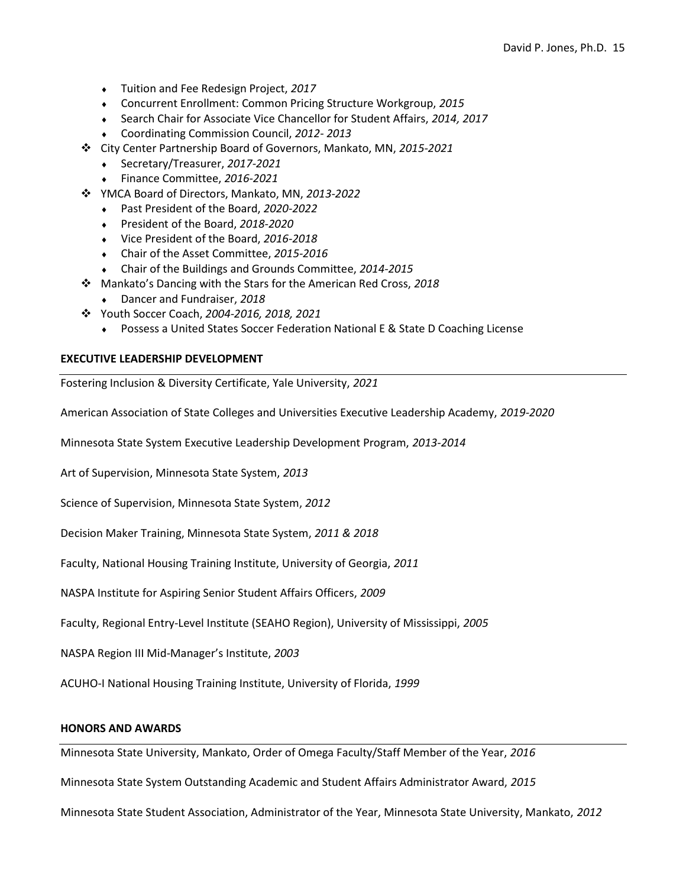- Tuition and Fee Redesign Project, 2017
- Concurrent Enrollment: Common Pricing Structure Workgroup, 2015
- ◆ Search Chair for Associate Vice Chancellor for Student Affairs, 2014, 2017
- Coordinating Commission Council, 2012- 2013
- \* City Center Partnership Board of Governors, Mankato, MN, 2015-2021
	- ◆ Secretary/Treasurer, 2017-2021
	- Finance Committee, 2016-2021
- YMCA Board of Directors, Mankato, MN, 2013-2022
	- Past President of the Board, 2020-2022
	- President of the Board, 2018-2020
	- Vice President of the Board, 2016-2018
	- Chair of the Asset Committee, 2015-2016
	- Chair of the Buildings and Grounds Committee, 2014-2015
- Mankato's Dancing with the Stars for the American Red Cross, 2018
	- Dancer and Fundraiser, 2018
- Youth Soccer Coach, 2004-2016, 2018, 2021
	- Possess a United States Soccer Federation National E & State D Coaching License

# EXECUTIVE LEADERSHIP DEVELOPMENT

Fostering Inclusion & Diversity Certificate, Yale University, 2021

American Association of State Colleges and Universities Executive Leadership Academy, 2019-2020

Minnesota State System Executive Leadership Development Program, 2013-2014

Art of Supervision, Minnesota State System, 2013

Science of Supervision, Minnesota State System, 2012

Decision Maker Training, Minnesota State System, 2011 & 2018

Faculty, National Housing Training Institute, University of Georgia, 2011

NASPA Institute for Aspiring Senior Student Affairs Officers, 2009

Faculty, Regional Entry-Level Institute (SEAHO Region), University of Mississippi, 2005

NASPA Region III Mid-Manager's Institute, 2003

ACUHO-I National Housing Training Institute, University of Florida, 1999

#### HONORS AND AWARDS

Minnesota State University, Mankato, Order of Omega Faculty/Staff Member of the Year, 2016

Minnesota State System Outstanding Academic and Student Affairs Administrator Award, 2015

Minnesota State Student Association, Administrator of the Year, Minnesota State University, Mankato, 2012